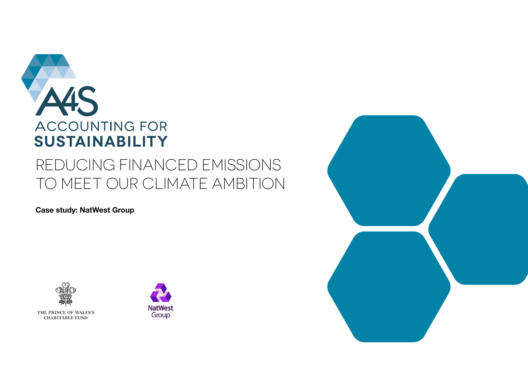

# REDUCING FINANCED EMISSIONS TO MEET OUR CLIMATE AMBITION

**Case study: NatWest Group** 





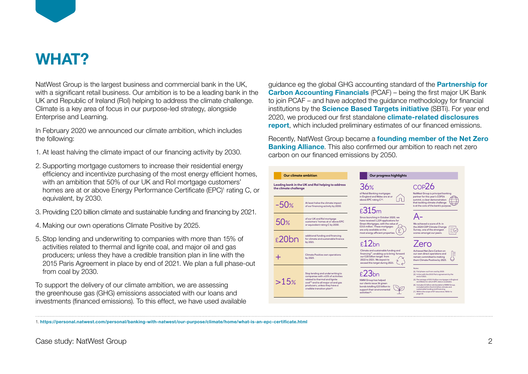

# **WHAT?**

NatWest Group is the largest business and commercial bank in the UK, with a significant retail business. Our ambition is to be a leading bank in the UK and Republic of Ireland (RoI) helping to address the climate challenge. Climate is a key area of focus in our purpose-led strategy, alongside Enterprise and Learning.

In February 2020 we announced our climate ambition, which includes the following:

- 1. At least halving the climate impact of our financing activity by 2030.
- 2. Supporting mortgage customers to increase their residential energy efficiency and incentivize purchasing of the most energy efficient homes, with an ambition that 50% of our UK and Rol mortgage customers' homes are at or above Energy Performance Certificate (EPC)<sup>1</sup> rating C, or equivalent, by 2030. for  $\alpha$  in our Purpose-led strategy,  $\alpha$
- 3. Providing £20 billion climate and sustainable funding and financing by 2021.  $\sigma$   $\sigma$ , we are  $\sigma$
- 4. Making our own operations Climate Positive by 2025.  $\sigma$  and  $\sigma$
- 5. Stop lending and underwriting to companies with more than 15% of activities related to thermal and lignite coal, and major oil and gas producers; unless they have a credible transition plan in line with the processed on the process of the 2021. We plan a full phase-out from coal by 2030.  $U$   $U$   $U$   $U$   $U$   $U$   $U$   $U$   $U$   $U$

To support the delivery of our climate ambition, we are assessing the greenhouse gas (GHG) emissions associated with our loans and investments (financed emissions). To this effect, we have used available guidance eg the global GHG accounting standard of the **[Partnership for](https://carbonaccountingfinancials.com)  [Carbon Accounting Financials](https://carbonaccountingfinancials.com)** (PCAF) – being the first major UK Bank to join PCAF – and have adopted the guidance methodology for financial institutions by the **[Science Based Targets initiative](https://sciencebasedtargets.org)** (SBTi). For year end 2020, we produced our first standalone **[climate-related disclosures](https://investors.natwestgroup.com/~/media/Files/R/RBS-IR-V2/results-center/19022021/2020-climate-related-disclosure-report.pdf)  [report](https://investors.natwestgroup.com/~/media/Files/R/RBS-IR-V2/results-center/19022021/2020-climate-related-disclosure-report.pdf)**, which included preliminary estimates of our financed emissions.

Recently, NatWest Group became a **founding member of the Net Zero [Banking Alliance](https://www.natwestgroup.com/news/2021/04/natwest-group-becomes-net-zero-banking-alliance-founding-member.html)**. This also confirmed our ambition to reach net zero carbon on our financed emissions by 2050.



1. **<https://personal.natwest.com/personal/banking-with-natwest/our-purpose/climate/home/what-is-an-epc-certificate.html>**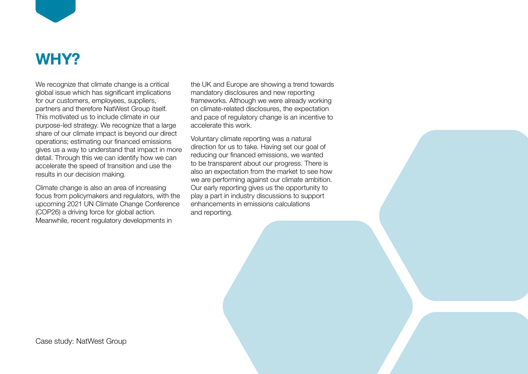

# **WHY?**

We recognize that climate change is a critical global issue which has significant implications for our customers, employees, suppliers, partners and therefore NatWest Group itself. This motivated us to include climate in our purpose-led strategy. We recognize that a large share of our climate impact is beyond our direct operations; estimating our financed emissions gives us a way to understand that impact in more detail. Through this we can identify how we can accelerate the speed of transition and use the results in our decision making.

Climate change is also an area of increasing focus from policymakers and regulators, with the upcoming 2021 UN Climate Change Conference (COP26) a driving force for global action. Meanwhile, recent regulatory developments in

the UK and Europe are showing a trend towards mandatory disclosures and new reporting frameworks. Although we were already working on climate-related disclosures, the expectation and pace of regulatory change is an incentive to accelerate this work.

Voluntary climate reporting was a natural direction for us to take. Having set our goal of reducing our financed emissions, we wanted to be transparent about our progress. There is also an expectation from the market to see how we are performing against our climate ambition. Our early reporting gives us the opportunity to play a part in industry discussions to support enhancements in emissions calculations and reporting.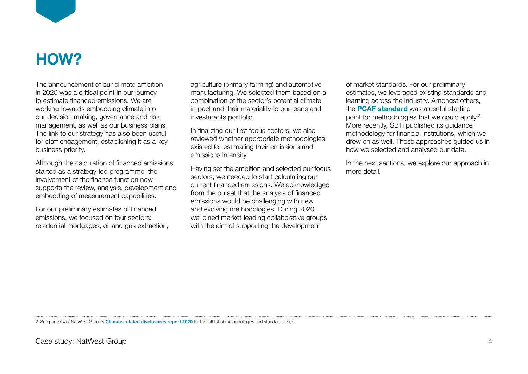

# **HOW?**

The announcement of our climate ambition in 2020 was a critical point in our journey to estimate financed emissions. We are working towards embedding climate into our decision making, governance and risk management, as well as our business plans. The link to our strategy has also been useful for staff engagement, establishing it as a key business priority.

Although the calculation of financed emissions started as a strategy-led programme, the involvement of the finance function now supports the review, analysis, development and embedding of measurement capabilities.

For our preliminary estimates of financed emissions, we focused on four sectors: residential mortgages, oil and gas extraction, agriculture (primary farming) and automotive manufacturing. We selected them based on a combination of the sector's potential climate impact and their materiality to our loans and investments portfolio.

In finalizing our first focus sectors, we also reviewed whether appropriate methodologies existed for estimating their emissions and emissions intensity.

Having set the ambition and selected our focus sectors, we needed to start calculating our current financed emissions. We acknowledged from the outset that the analysis of financed emissions would be challenging with new and evolving methodologies. During 2020, we joined market-leading collaborative groups with the aim of supporting the development

of market standards. For our preliminary estimates, we leveraged existing standards and learning across the industry. Amongst others, the **[PCAF standard](https://carbonaccountingfinancials.com/standard)** was a useful starting point for methodologies that we could apply.<sup>2</sup> More recently, SBTi published its guidance methodology for financial institutions, which we drew on as well. These approaches guided us in how we selected and analysed our data.

In the next sections, we explore our approach in more detail.

2. See page 54 of NatWest Group's **[Climate-related disclosures report 2020](https://investors.natwestgroup.com/~/media/Files/R/RBS-IR-V2/results-center/19022021/2020-climate-related-disclosure-report.pdf)** for the full list of methodologies and standards used.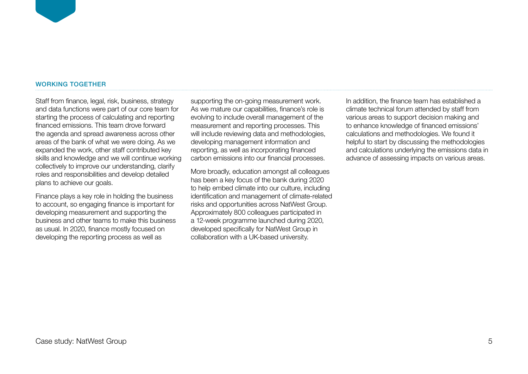### WORKING TOGETHER

Staff from finance, legal, risk, business, strategy and data functions were part of our core team for starting the process of calculating and reporting financed emissions. This team drove forward the agenda and spread awareness across other areas of the bank of what we were doing. As we expanded the work, other staff contributed key skills and knowledge and we will continue working collectively to improve our understanding, clarify roles and responsibilities and develop detailed plans to achieve our goals.

Finance plays a key role in holding the business to account, so engaging finance is important for developing measurement and supporting the business and other teams to make this business as usual. In 2020, finance mostly focused on developing the reporting process as well as

supporting the on-going measurement work. As we mature our capabilities, finance's role is evolving to include overall management of the measurement and reporting processes. This will include reviewing data and methodologies, developing management information and reporting, as well as incorporating financed carbon emissions into our financial processes.

More broadly, education amongst all colleagues has been a key focus of the bank during 2020 to help embed climate into our culture, including identification and management of climate-related risks and opportunities across NatWest Group. Approximately 800 colleagues participated in a 12-week programme launched during 2020, developed specifically for NatWest Group in collaboration with a UK-based university.

In addition, the finance team has established a climate technical forum attended by staff from various areas to support decision making and to enhance knowledge of financed emissions' calculations and methodologies. We found it helpful to start by discussing the methodologies and calculations underlying the emissions data in advance of assessing impacts on various areas.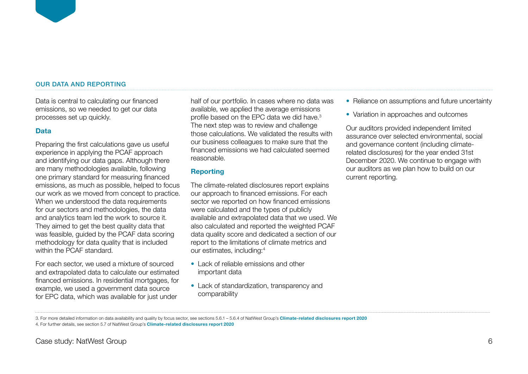### OUR DATA AND REPORTING

Data is central to calculating our financed emissions, so we needed to get our data processes set up quickly.

## **Data**

Preparing the first calculations gave us useful experience in applying the PCAF approach and identifying our data gaps. Although there are many methodologies available, following one primary standard for measuring financed emissions, as much as possible, helped to focus our work as we moved from concept to practice. When we understood the data requirements for our sectors and methodologies, the data and analytics team led the work to source it. They aimed to get the best quality data that was feasible, guided by the PCAF data scoring methodology for data quality that is included within the PCAF standard.

For each sector, we used a mixture of sourced and extrapolated data to calculate our estimated financed emissions. In residential mortgages, for example, we used a government data source for EPC data, which was available for just under

half of our portfolio. In cases where no data was available, we applied the average emissions profile based on the EPC data we did have.3 The next step was to review and challenge those calculations. We validated the results with our business colleagues to make sure that the financed emissions we had calculated seemed reasonable.

# **Reporting**

The climate-related disclosures report explains our approach to financed emissions. For each sector we reported on how financed emissions were calculated and the types of publicly available and extrapolated data that we used. We also calculated and reported the weighted PCAF data quality score and dedicated a section of our report to the limitations of climate metrics and our estimates, including:4

- **•** Lack of reliable emissions and other important data
- **•** Lack of standardization, transparency and comparability
- **•** Reliance on assumptions and future uncertainty
- **•** Variation in approaches and outcomes

Our auditors provided independent limited assurance over selected environmental, social and governance content (including climaterelated disclosures) for the year ended 31st December 2020. We continue to engage with our auditors as we plan how to build on our current reporting.

<sup>3.</sup> For more detailed information on data availability and quality by focus sector, see sections 5.6.1 – 5.6.4 of NatWest Group's **[Climate-related disclosures report 2020](https://investors.natwestgroup.com/~/media/Files/R/RBS-IR-V2/results-center/19022021/2020-climate-related-disclosure-report.pdf)** 4. For further details, see section 5.7 of NatWest Group's **[Climate-related disclosures report 2020](https://investors.natwestgroup.com/~/media/Files/R/RBS-IR-V2/results-center/19022021/2020-climate-related-disclosure-report.pdf)**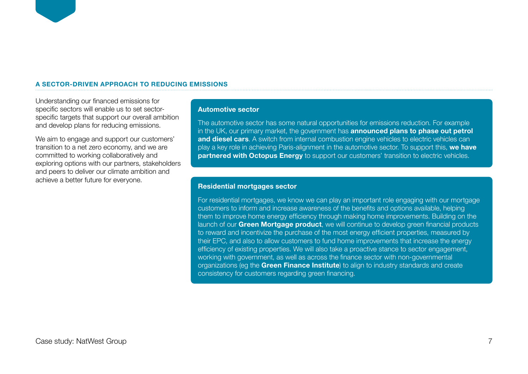### **A SECTOR-DRIVEN APPROACH TO REDUCING EMISSIONS**

Understanding our financed emissions for specific sectors will enable us to set sectorspecific targets that support our overall ambition and develop plans for reducing emissions.

We aim to engage and support our customers' transition to a net zero economy, and we are committed to working collaboratively and exploring options with our partners, stakeholders and peers to deliver our climate ambition and achieve a better future for everyone.

## **Automotive sector**

The automotive sector has some natural opportunities for emissions reduction. For example in the UK, our primary market, the government has **[announced plans to phase out petrol](https://www.gov.uk/government/news/government-takes-historic-step-towards-net-zero-with-end-of-sale-of-new-petrol-and-diesel-cars-by-2030)  [and diesel cars](https://www.gov.uk/government/news/government-takes-historic-step-towards-net-zero-with-end-of-sale-of-new-petrol-and-diesel-cars-by-2030)**. A switch from internal combustion engine vehicles to electric vehicles can play a key role in achieving Paris-alignment in the automotive sector. To support this, **[we have](https://www.natwestgroup.com/news/2021/02/switching-to-electric-vehicles-made-easier.html)  [partnered with Octopus Energy](https://www.natwestgroup.com/news/2021/02/switching-to-electric-vehicles-made-easier.html)** to support our customers' transition to electric vehicles.

### **Residential mortgages sector**

For residential mortgages, we know we can play an important role engaging with our mortgage customers to inform and increase awareness of the benefits and options available, helping them to improve home energy efficiency through making home improvements. Building on the launch of our **[Green Mortgage product](https://personal.natwest.com/personal/mortgages/mortgage-types-and-rates/green-mortgages.html#green)**, we will continue to develop green financial products to reward and incentivize the purchase of the most energy efficient properties, measured by their EPC, and also to allow customers to fund home improvements that increase the energy efficiency of existing properties. We will also take a proactive stance to sector engagement, working with government, as well as across the finance sector with non-governmental organizations (eg the **[Green Finance Institute](https://www.greenfinanceinstitute.co.uk/)**) to align to industry standards and create consistency for customers regarding green financing.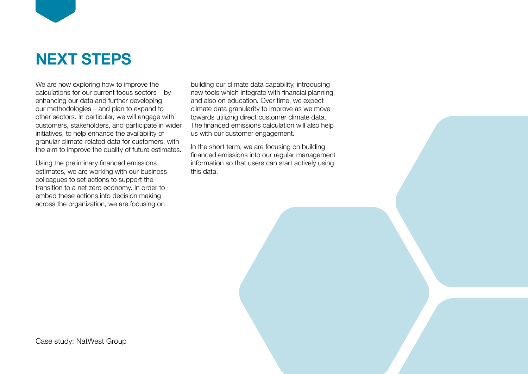

We are now exploring how to improve the calculations for our current focus sectors – by enhancing our data and further developing our methodologies – and plan to expand to other sectors. In particular, we will engage with customers, stakeholders, and participate in wider initiatives, to help enhance the availability of granular climate-related data for customers, with the aim to improve the quality of future estimates.

Using the preliminary financed emissions estimates, we are working with our business colleagues to set actions to support the transition to a net zero economy. In order to embed these actions into decision making across the organization, we are focusing on

building our climate data capability, introducing new tools which integrate with financial planning, and also on education. Over time, we expect climate data granularity to improve as we move towards utilizing direct customer climate data. The financed emissions calculation will also help us with our customer engagement.

In the short term, we are focusing on building financed emissions into our regular management information so that users can start actively using this data.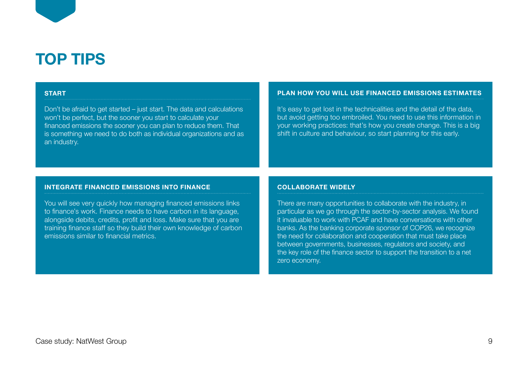# **TOP TIPS**

#### **START**

Don't be afraid to get started – just start. The data and calculations won't be perfect, but the sooner you start to calculate your financed emissions the sooner you can plan to reduce them. That is something we need to do both as individual organizations and as an industry.

#### **PLAN HOW YOU WILL USE FINANCED EMISSIONS ESTIMATES**

It's easy to get lost in the technicalities and the detail of the data, but avoid getting too embroiled. You need to use this information in your working practices: that's how you create change. This is a big shift in culture and behaviour, so start planning for this early.

#### **INTEGRATE FINANCED EMISSIONS INTO FINANCE**

You will see very quickly how managing financed emissions links to finance's work. Finance needs to have carbon in its language, alongside debits, credits, profit and loss. Make sure that you are training finance staff so they build their own knowledge of carbon emissions similar to financial metrics.

#### **COLLABORATE WIDELY**

There are many opportunities to collaborate with the industry, in particular as we go through the sector-by-sector analysis. We found it invaluable to work with PCAF and have conversations with other banks. As the banking corporate sponsor of COP26, we recognize the need for collaboration and cooperation that must take place between governments, businesses, regulators and society, and the key role of the finance sector to support the transition to a net zero economy.